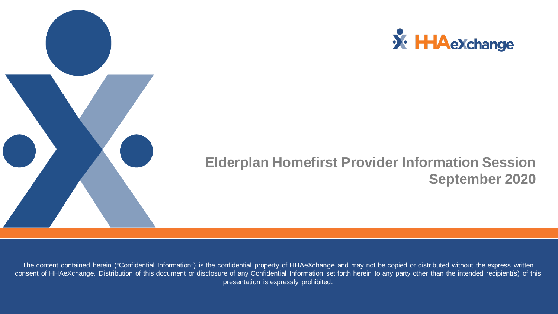



#### **Elderplan Homefirst Provider Information Session September 2020**

The content contained herein ("Confidential Information") is the confidential property of HHAeXchange and may not be copied or distributed without the express written consent of HHAeXchange. Distribution of this document or disclosure of any Confidential Information set forth herein to any party other than the intended recipient(s) of this presentation is expressly prohibited.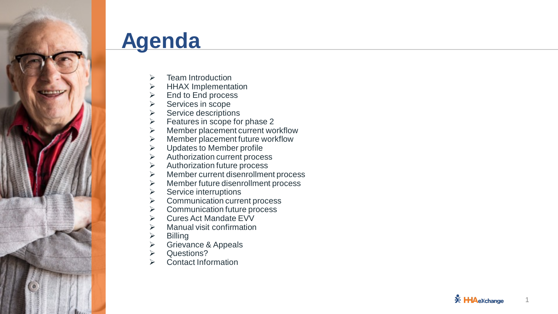

## **Agenda**

- Team Introduction
- HHAX Implementation
- End to End process
- Services in scope
- Service descriptions
- $\triangleright$  Features in scope for phase 2
- $\triangleright$  Member placement current workflow
- $\triangleright$  Member placement future workflow
- $\triangleright$  Updates to Member profile
- $\triangleright$  Authorization current process
- $\triangleright$  Authorization future process
- $\triangleright$  Member current disenrollment process
- Member future disenrollment process
- Service interruptions
- $\triangleright$  Communication current process
- $\triangleright$  Communication future process
- $\triangleright$  Cures Act Mandate EVV
- $\triangleright$  Manual visit confirmation
- $\triangleright$  Billing
- Grievance & Appeals
- Questions?
- Contact Information

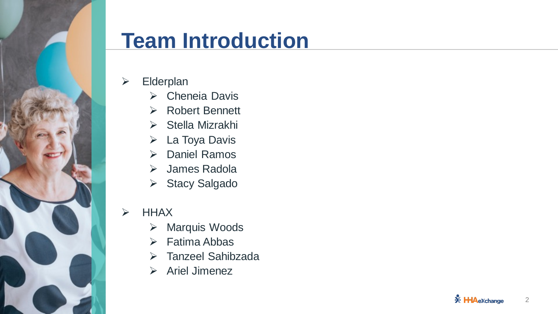

## **Team Introduction**

- $\triangleright$  Elderplan
	- ▶ Cheneia Davis
	- **► Robert Bennett**
	- $\triangleright$  Stella Mizrakhi
	- $\triangleright$  La Toya Davis
	- **▶ Daniel Ramos**
	- James Radola
	- **▶ Stacy Salgado**

#### $\triangleright$  HHAX

- **▶ Marquis Woods**
- $\triangleright$  Fatima Abbas
- Tanzeel Sahibzada
- $\triangleright$  Ariel Jimenez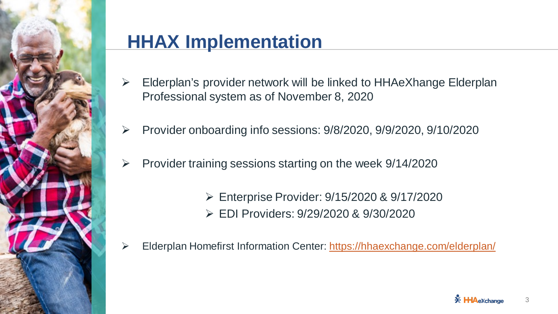

## **HHAX Implementation**

- $\triangleright$  Elderplan's provider network will be linked to HHAeXhange Elderplan Professional system as of November 8, 2020
- $\triangleright$  Provider onboarding info sessions: 9/8/2020, 9/9/2020, 9/10/2020
- $\triangleright$  Provider training sessions starting on the week 9/14/2020
	- Enterprise Provider: 9/15/2020 & 9/17/2020 EDI Providers: 9/29/2020 & 9/30/2020
- Elderplan Homefirst Information Center:<https://hhaexchange.com/elderplan/>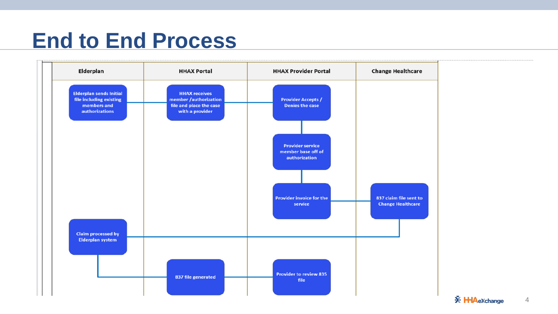## **End to End Process**

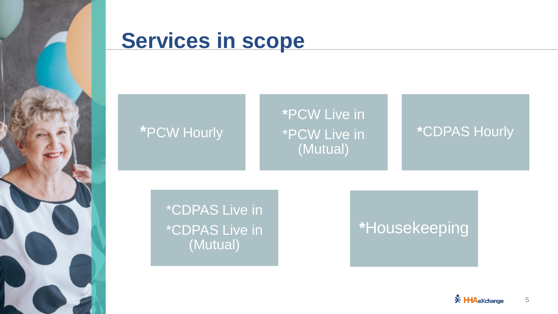

## **Services in scope**

#### **\***PCW Hourly

#### **\***PCW Live in \*PCW Live in (Mutual)

#### **\***CDPAS Hourly

\*CDPAS Live in \*CDPAS Live in (Mutual)

### **\***Housekeeping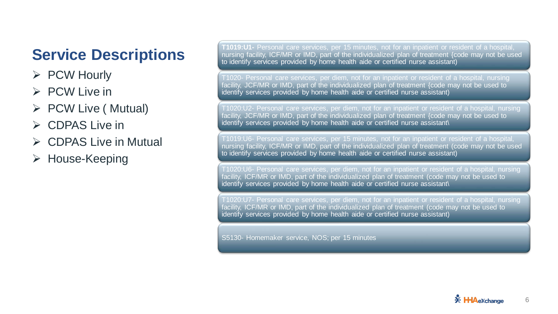#### **Service Descriptions**

- $\triangleright$  PCW Hourly
- $\triangleright$  PCW Live in
- $\triangleright$  PCW Live ( Mutual)
- $\triangleright$  CDPAS Live in
- $\triangleright$  CDPAS Live in Mutual
- **≻ House-Keeping**

**T1019:U1-** Personal care services, per 15 minutes, not for an inpatient or resident of a hospital, nursing facility, ICF/MR or IMD, part of the individualized plan of treatment {code may not be used to identify services provided by home health aide or certified nurse assistant)

T1020- Personal care services, per diem, not for an inpatient or resident of a hospital, nursing facility, JCF/MR or IMD, part of the individualized plan of treatment {code may not be used to identify services provided by home health aide or certified nurse assistant)

T1020:U2- Personal care services, per diem, not for an inpatient or resident of a hospital, nursing facility, JCF/MR or IMD, part of the individualized plan of treatment {code may not be used to identify services provided by home health aide or certified nurse assistant\

T1019:U6- Personal care services, per 15 minutes, not for an inpatient or resident of a hospital, nursing facility, ICF/MR or IMD, part of the individualized plan of treatment (code may not be used to identify services provided by home health aide or certified nurse assistant)

T1020:U6- Personal care services, per diem, not for an inpatient or resident of a hospital, nursing facility, ICF/MR or IMD, part of the individualized plan of treatment (code may not be used to identify services provided by home health aide or certified nurse assistant\

T1020:U7- Personal care services, per diem, not for an inpatient or resident of a hospital, nursing facility, ICF/MR or IMD, part of the individualized plan of treatment (code may not be used to identify services provided by home health aide or certified nurse assistant)

S5130- Homemaker service, NOS; per 15 minutes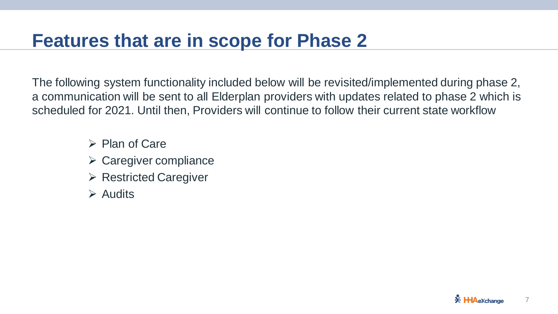### **Features that are in scope for Phase 2**

The following system functionality included below will be revisited/implemented during phase 2, a communication will be sent to all Elderplan providers with updates related to phase 2 which is scheduled for 2021. Until then, Providers will continue to follow their current state workflow

- $\triangleright$  Plan of Care
- $\triangleright$  Caregiver compliance
- $\triangleright$  Restricted Caregiver
- $\triangleright$  Audits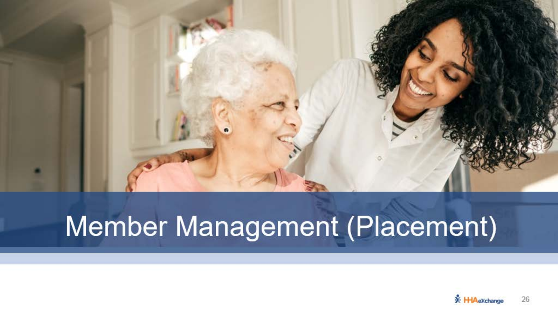

# Member Management (Placement)

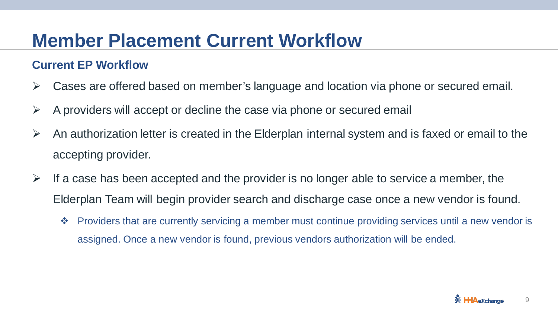## **Member Placement Current Workflow**

#### **Current EP Workflow**

- $\triangleright$  Cases are offered based on member's language and location via phone or secured email.
- $\triangleright$  A providers will accept or decline the case via phone or secured email
- $\triangleright$  An authorization letter is created in the Elderplan internal system and is faxed or email to the accepting provider.
- $\triangleright$  If a case has been accepted and the provider is no longer able to service a member, the Elderplan Team will begin provider search and discharge case once a new vendor is found.
	- ◆ Providers that are currently servicing a member must continue providing services until a new vendor is assigned. Once a new vendor is found, previous vendors authorization will be ended.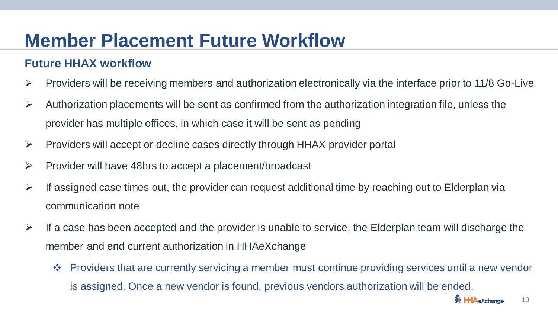## **Member Placement Future Workflow**

#### **Future HHAX workflow**

- $\triangleright$  Providers will be receiving members and authorization electronically via the interface prior to 11/8 Go-Live
- $\triangleright$  Authorization placements will be sent as confirmed from the authorization integration file, unless the provider has multiple offices, in which case it will be sent as pending
- $\triangleright$  Providers will accept or decline cases directly through HHAX provider portal
- $\triangleright$  Provider will have 48hrs to accept a placement/broadcast
- $\triangleright$  If assigned case times out, the provider can request additional time by reaching out to Elderplan via communication note
- $\triangleright$  If a case has been accepted and the provider is unable to service, the Elderplan team will discharge the member and end current authorization in HHAeXchange
	- ◆ Providers that are currently servicing a member must continue providing services until a new vendor is assigned. Once a new vendor is found, previous vendors authorization will be ended.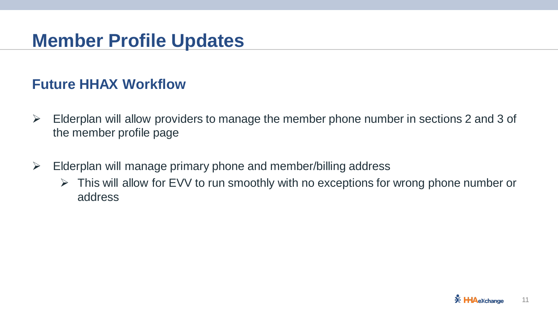### **Member Profile Updates**

#### **Future HHAX Workflow**

- $\triangleright$  Elderplan will allow providers to manage the member phone number in sections 2 and 3 of the member profile page
- $\triangleright$  Elderplan will manage primary phone and member/billing address
	- $\triangleright$  This will allow for EVV to run smoothly with no exceptions for wrong phone number or address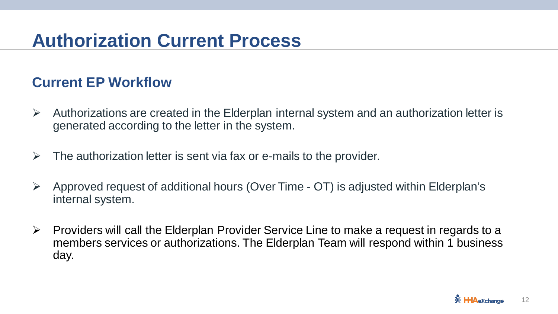## **Authorization Current Process**

#### **Current EP Workflow**

- $\triangleright$  Authorizations are created in the Elderplan internal system and an authorization letter is generated according to the letter in the system.
- $\triangleright$  The authorization letter is sent via fax or e-mails to the provider.
- $\triangleright$  Approved request of additional hours (Over Time OT) is adjusted within Elderplan's internal system.
- $\triangleright$  Providers will call the Elderplan Provider Service Line to make a request in regards to a members services or authorizations. The Elderplan Team will respond within 1 business day.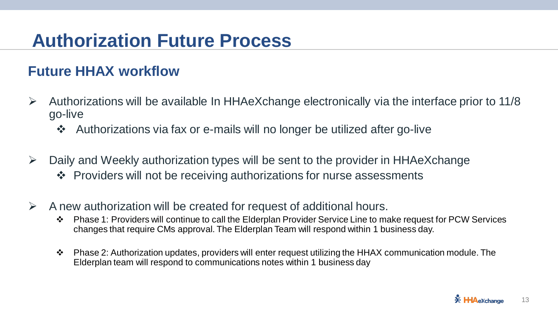## **Authorization Future Process**

#### **Future HHAX workflow**

- $\triangleright$  Authorizations will be available In HHAeXchange electronically via the interface prior to 11/8 go-live
	- Authorizations via fax or e-mails will no longer be utilized after go-live
- $\triangleright$  Daily and Weekly authorization types will be sent to the provider in HHAeXchange ❖ Providers will not be receiving authorizations for nurse assessments
- $\triangleright$  A new authorization will be created for request of additional hours.
	- ◆ Phase 1: Providers will continue to call the Elderplan Provider Service Line to make request for PCW Services changes that require CMs approval. The Elderplan Team will respond within 1 business day.
	- $\cdot \cdot$  Phase 2: Authorization updates, providers will enter request utilizing the HHAX communication module. The Elderplan team will respond to communications notes within 1 business day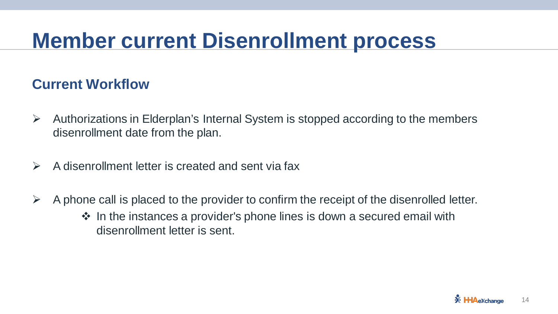## **Member current Disenrollment process**

#### **Current Workflow**

- $\triangleright$  Authorizations in Elderplan's Internal System is stopped according to the members disenrollment date from the plan.
- $\triangleright$  A disenrollment letter is created and sent via fax
- $\triangleright$  A phone call is placed to the provider to confirm the receipt of the disenrolled letter.  $\cdot$  In the instances a provider's phone lines is down a secured email with
	- disenrollment letter is sent.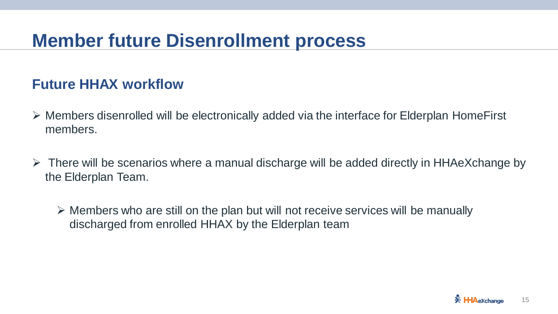### **Member future Disenrollment process**

#### **Future HHAX workflow**

- Members disenrolled will be electronically added via the interface for Elderplan HomeFirst members.
- $\triangleright$  There will be scenarios where a manual discharge will be added directly in HHAeXchange by the Elderplan Team.

 $\triangleright$  Members who are still on the plan but will not receive services will be manually discharged from enrolled HHAX by the Elderplan team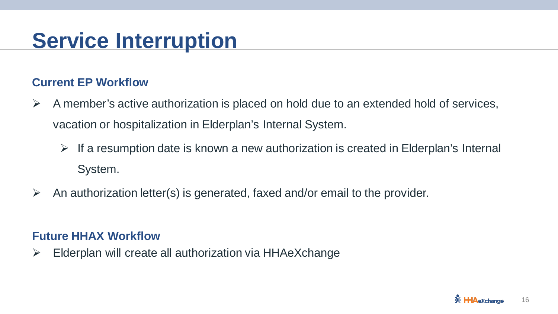## **Service Interruption**

#### **Current EP Workflow**

- $\triangleright$  A member's active authorization is placed on hold due to an extended hold of services, vacation or hospitalization in Elderplan's Internal System.
	- $\triangleright$  If a resumption date is known a new authorization is created in Elderplan's Internal System.
- An authorization letter(s) is generated, faxed and/or email to the provider.

#### **Future HHAX Workflow**

 $\triangleright$  Elderplan will create all authorization via HHAeXchange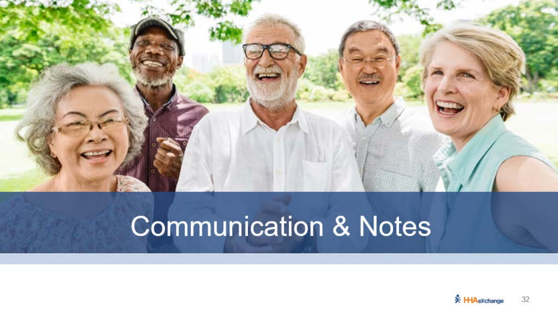

# **Communication & Notes**

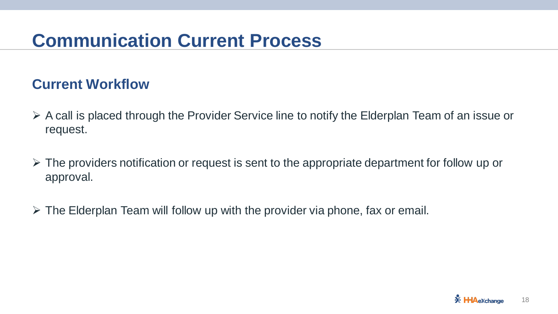## **Communication Current Process**

#### **Current Workflow**

- $\triangleright$  A call is placed through the Provider Service line to notify the Elderplan Team of an issue or request.
- $\triangleright$  The providers notification or request is sent to the appropriate department for follow up or approval.
- $\triangleright$  The Elderplan Team will follow up with the provider via phone, fax or email.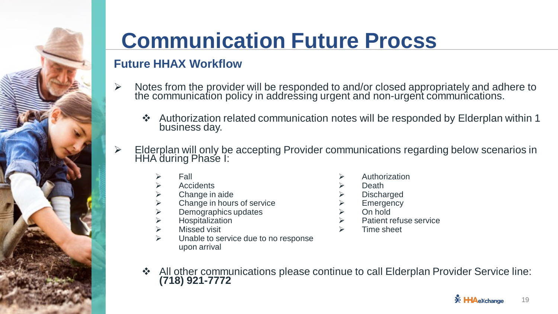

## **Communication Future Procss**

#### **Future HHAX Workflow**

- $\triangleright$  Notes from the provider will be responded to and/or closed appropriately and adhere to the communication policy in addressing urgent and non-urgent communications.
	- Authorization related communication notes will be responded by Elderplan within 1 business day.
- ▶ Elderplan will only be accepting Provider communications regarding below scenarios in HHA during Phase I:
	- Fall
	- **Accidents**
	- Change in aide
	- Change in hours of service
	- Demographics updates
	- $\triangleright$  Hospitalization<br> $\triangleright$  Missed visit
	- Missed visit
	- Unable to service due to no response upon arrival
- Authorization
- Death
- **Discharged**
- Emergency
- On hold
- Patient refuse service
- Time sheet
- ❖ All other communications please continue to call Elderplan Provider Service line: **(718) 921-7772**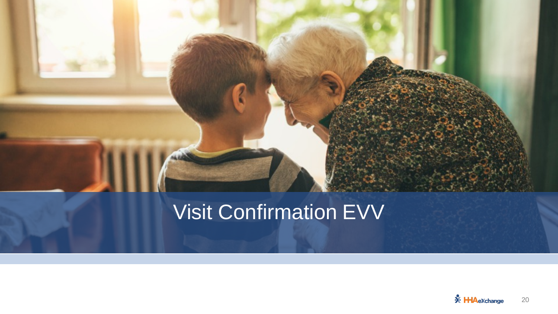

## **Visit Confirmation EVV**

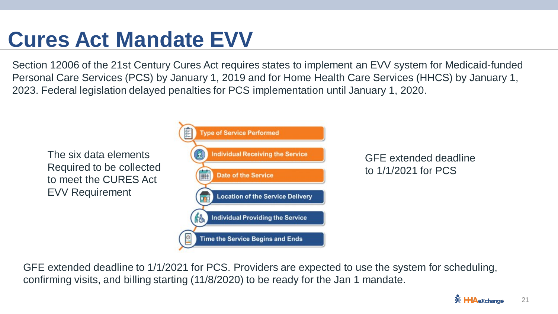## **Cures Act Mandate EVV**

Section 12006 of the 21st Century Cures Act requires states to implement an EVV system for Medicaid-funded Personal Care Services (PCS) by January 1, 2019 and for Home Health Care Services (HHCS) by January 1, 2023. Federal legislation delayed penalties for PCS implementation until January 1, 2020.



GFE extended deadline to 1/1/2021 for PCS. Providers are expected to use the system for scheduling, confirming visits, and billing starting (11/8/2020) to be ready for the Jan 1 mandate.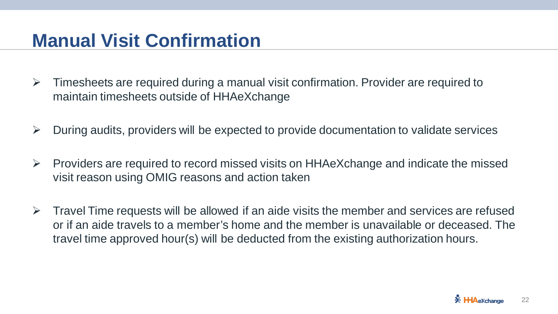### **Manual Visit Confirmation**

- $\triangleright$  Timesheets are required during a manual visit confirmation. Provider are required to maintain timesheets outside of HHAeXchange
- $\triangleright$  During audits, providers will be expected to provide documentation to validate services
- $\triangleright$  Providers are required to record missed visits on HHAeXchange and indicate the missed visit reason using OMIG reasons and action taken
- $\triangleright$  Travel Time requests will be allowed if an aide visits the member and services are refused or if an aide travels to a member's home and the member is unavailable or deceased. The travel time approved hour(s) will be deducted from the existing authorization hours.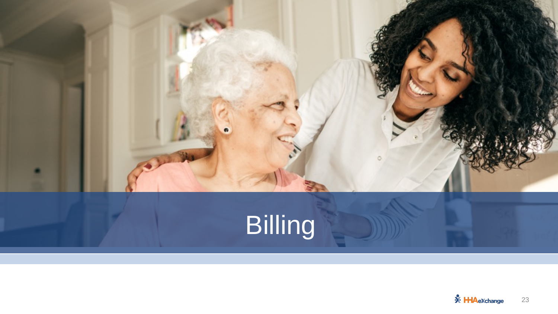

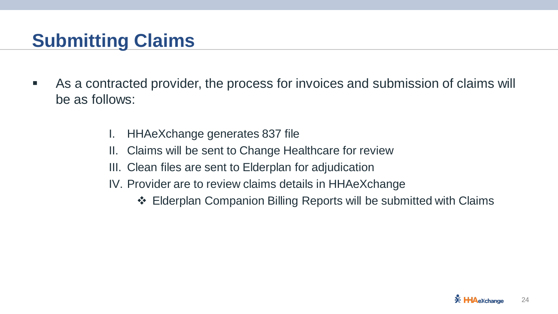## **Submitting Claims**

- As a contracted provider, the process for invoices and submission of claims will be as follows:
	- I. HHAeXchange generates 837 file
	- II. Claims will be sent to Change Healthcare for review
	- III. Clean files are sent to Elderplan for adjudication
	- IV. Provider are to review claims details in HHAeXchange
		- Elderplan Companion Billing Reports will be submitted with Claims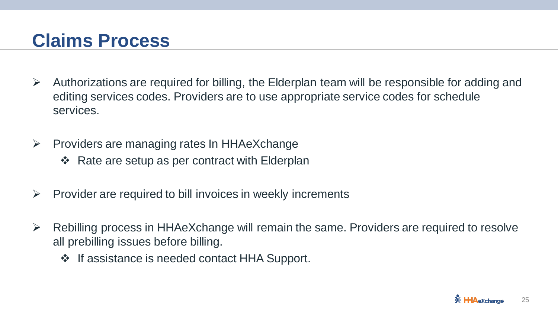### **Claims Process**

- $\triangleright$  Authorizations are required for billing, the Elderplan team will be responsible for adding and editing services codes. Providers are to use appropriate service codes for schedule services.
- $\triangleright$  Providers are managing rates In HHAeXchange
	- $\div$  Rate are setup as per contract with Elderplan
- $\triangleright$  Provider are required to bill invoices in weekly increments
- $\triangleright$  Rebilling process in HHAeXchange will remain the same. Providers are required to resolve all prebilling issues before billing.
	- ❖ If assistance is needed contact HHA Support.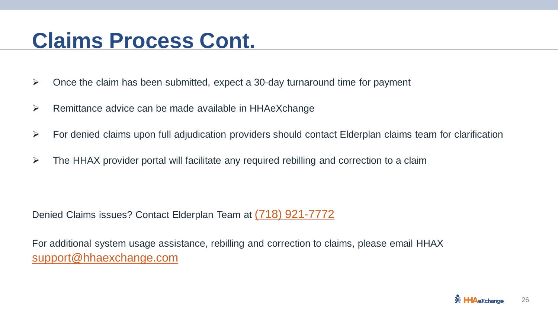## **Claims Process Cont.**

- $\triangleright$  Once the claim has been submitted, expect a 30-day turnaround time for payment
- $\triangleright$  Remittance advice can be made available in HHAeXchange
- $\triangleright$  For denied claims upon full adjudication providers should contact Elderplan claims team for clarification
- $\triangleright$  The HHAX provider portal will facilitate any required rebilling and correction to a claim

Denied Claims issues? Contact Elderplan Team at (718) 921-7772

For additional system usage assistance, rebilling and correction to claims, please email HHAX [support@hhaexchange.com](mailto:support@hhaexchange.com)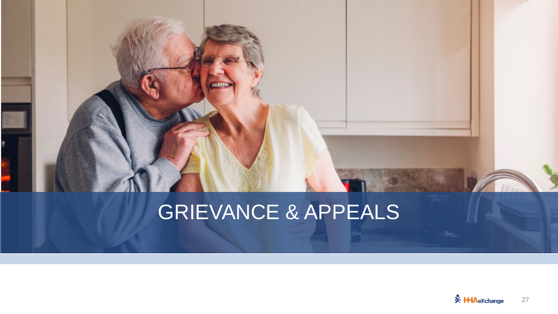## GRIEVANCE & APPEALS

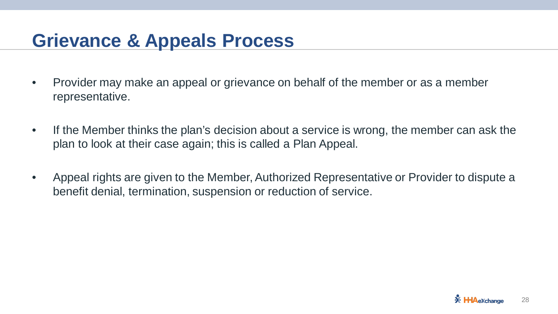## **Grievance & Appeals Process**

- Provider may make an appeal or grievance on behalf of the member or as a member representative.
- If the Member thinks the plan's decision about a service is wrong, the member can ask the plan to look at their case again; this is called a Plan Appeal.
- Appeal rights are given to the Member, Authorized Representative or Provider to dispute a benefit denial, termination, suspension or reduction of service.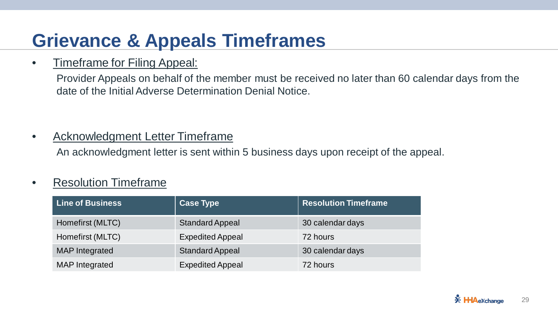## **Grievance & Appeals Timeframes**

#### • Timeframe for Filing Appeal:

Provider Appeals on behalf of the member must be received no later than 60 calendar days from the date of the Initial Adverse Determination Denial Notice.

#### • Acknowledgment Letter Timeframe

An acknowledgment letter is sent within 5 business days upon receipt of the appeal.

#### • Resolution Timeframe

| <b>Line of Business</b> | <b>Case Type</b>        | <b>Resolution Timeframe</b> |
|-------------------------|-------------------------|-----------------------------|
| Homefirst (MLTC)        | <b>Standard Appeal</b>  | 30 calendar days            |
| Homefirst (MLTC)        | <b>Expedited Appeal</b> | 72 hours                    |
| <b>MAP</b> Integrated   | <b>Standard Appeal</b>  | 30 calendar days            |
| <b>MAP</b> Integrated   | <b>Expedited Appeal</b> | 72 hours                    |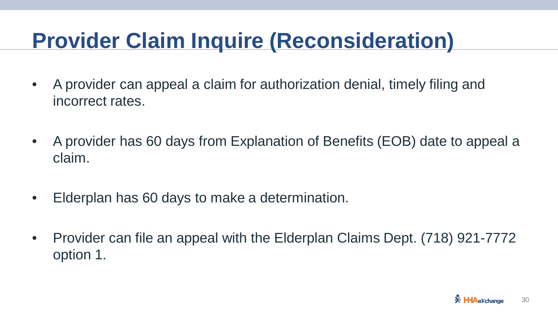## **Provider Claim Inquire (Reconsideration)**

- A provider can appeal a claim for authorization denial, timely filing and incorrect rates.
- A provider has 60 days from Explanation of Benefits (EOB) date to appeal a claim.
- Elderplan has 60 days to make a determination.
- Provider can file an appeal with the Elderplan Claims Dept. (718) 921-7772 option 1.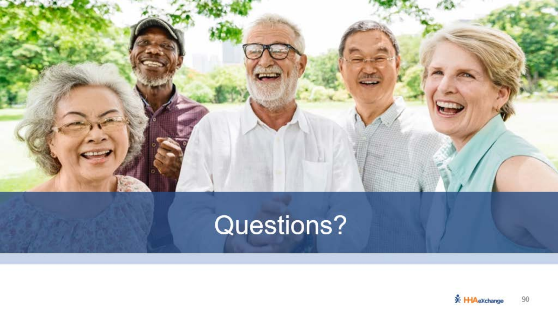

# Questions?